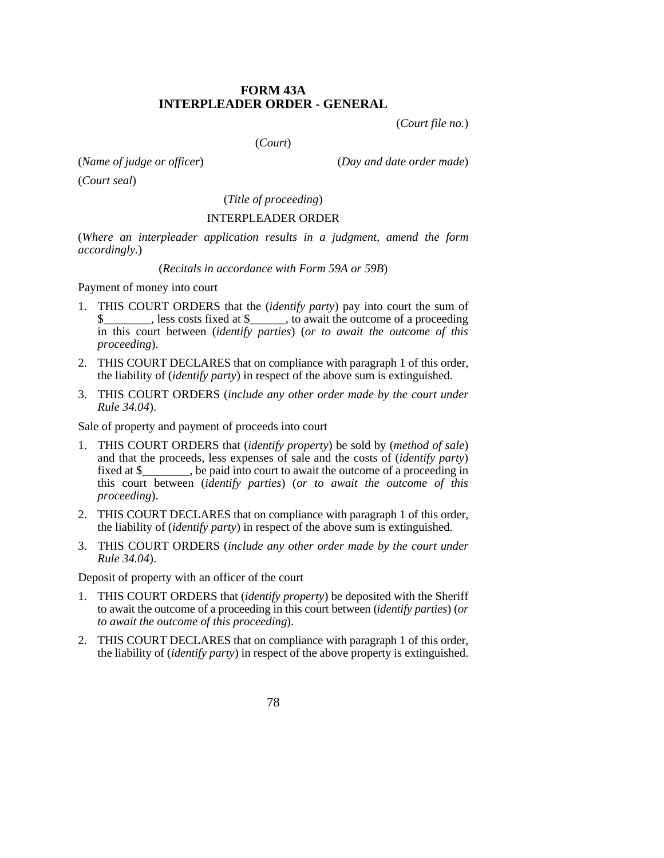## **FORM 43A INTERPLEADER ORDER - GENERAL**

(*Court file no.*)

(*Court*)

(*Name of judge or officer*) (*Day and date order made*)

(*Court seal*)

(*Title of proceeding*)

## INTERPLEADER ORDER

(*Where an interpleader application results in a judgment, amend the form accordingly.*)

## (*Recitals in accordance with Form 59A or 59B*)

Payment of money into court

- 1. THIS COURT ORDERS that the (*identify party*) pay into court the sum of  $\frac{1}{1}$ , less costs fixed at \$ $\frac{1}{2}$ , to await the outcome of a proceeding in this court between (*identify parties*) (*or to await the outcome of this proceeding*).
- 2. THIS COURT DECLARES that on compliance with paragraph 1 of this order, the liability of (*identify party*) in respect of the above sum is extinguished.
- 3. THIS COURT ORDERS (*include any other order made by the court under Rule 34.04*).

Sale of property and payment of proceeds into court

- 1. THIS COURT ORDERS that (*identify property*) be sold by (*method of sale*) and that the proceeds, less expenses of sale and the costs of (*identify party*) fixed at \$\_\_\_\_\_\_\_\_, be paid into court to await the outcome of a proceeding in this court between (*identify parties*) (*or to await the outcome of this proceeding*).
- 2. THIS COURT DECLARES that on compliance with paragraph 1 of this order, the liability of (*identify party*) in respect of the above sum is extinguished.
- 3. THIS COURT ORDERS (*include any other order made by the court under Rule 34.04*).

Deposit of property with an officer of the court

- 1. THIS COURT ORDERS that (*identify property*) be deposited with the Sheriff to await the outcome of a proceeding in this court between (*identify parties*) (*or to await the outcome of this proceeding*).
- 2. THIS COURT DECLARES that on compliance with paragraph 1 of this order, the liability of (*identify party*) in respect of the above property is extinguished.